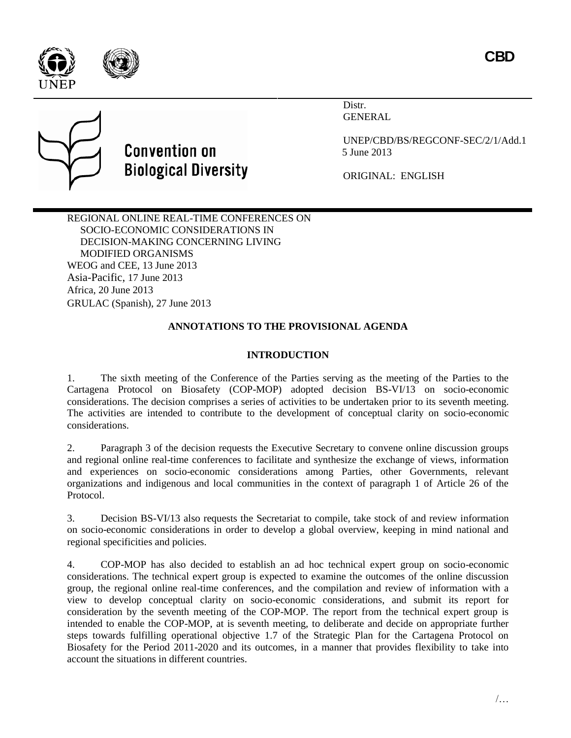



# **Convention on Biological Diversity**

Distr. GENERAL

UNEP/CBD/BS/REGCONF-SEC/2/1/Add.1 5 June 2013

ORIGINAL: ENGLISH

REGIONAL ONLINE REAL-TIME CONFERENCES ON SOCIO-ECONOMIC CONSIDERATIONS IN DECISION-MAKING CONCERNING LIVING MODIFIED ORGANISMS WEOG and CEE, 13 June 2013 Asia-Pacific, 17 June 2013 Africa, 20 June 2013 GRULAC (Spanish), 27 June 2013

# **ANNOTATIONS TO THE PROVISIONAL AGENDA**

## **INTRODUCTION**

1. The sixth meeting of the Conference of the Parties serving as the meeting of the Parties to the Cartagena Protocol on Biosafety (COP-MOP) adopted decision BS-VI/13 on socio-economic considerations. The decision comprises a series of activities to be undertaken prior to its seventh meeting. The activities are intended to contribute to the development of conceptual clarity on socio-economic considerations.

2. Paragraph 3 of the decision requests the Executive Secretary to convene online discussion groups and regional online real-time conferences to facilitate and synthesize the exchange of views, information and experiences on socio-economic considerations among Parties, other Governments, relevant organizations and indigenous and local communities in the context of paragraph 1 of Article 26 of the Protocol.

3. Decision BS-VI/13 also requests the Secretariat to compile, take stock of and review information on socio-economic considerations in order to develop a global overview, keeping in mind national and regional specificities and policies.

4. COP-MOP has also decided to establish an ad hoc technical expert group on socio-economic considerations. The technical expert group is expected to examine the outcomes of the online discussion group, the regional online real-time conferences, and the compilation and review of information with a view to develop conceptual clarity on socio-economic considerations, and submit its report for consideration by the seventh meeting of the COP-MOP. The report from the technical expert group is intended to enable the COP-MOP, at is seventh meeting, to deliberate and decide on appropriate further steps towards fulfilling operational objective 1.7 of the Strategic Plan for the Cartagena Protocol on Biosafety for the Period 2011-2020 and its outcomes, in a manner that provides flexibility to take into account the situations in different countries.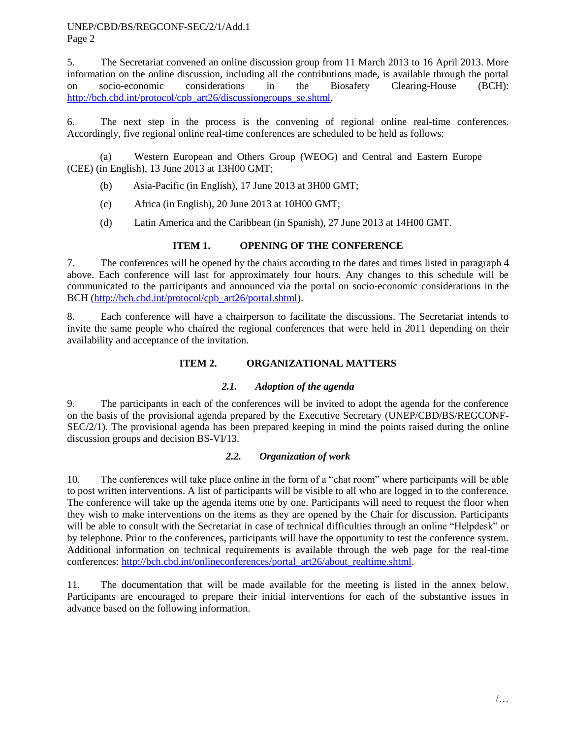UNEP/CBD/BS/REGCONF-SEC/2/1/Add.1 Page 2

5. The Secretariat convened an online discussion group from 11 March 2013 to 16 April 2013. More information on the online discussion, including all the contributions made, is available through the portal on socio-economic considerations in the Biosafety Clearing-House (BCH): [http://bch.cbd.int/protocol/cpb\\_art26/discussiongroups\\_se.shtml.](http://bch.cbd.int/protocol/cpb_art26/discussiongroups_se.shtml)

6. The next step in the process is the convening of regional online real-time conferences. Accordingly, five regional online real-time conferences are scheduled to be held as follows:

(a) Western European and Others Group (WEOG) and Central and Eastern Europe (CEE) (in English), 13 June 2013 at 13H00 GMT;

- (b) Asia-Pacific (in English), 17 June 2013 at 3H00 GMT;
- (c) Africa (in English), 20 June 2013 at 10H00 GMT;
- (d) Latin America and the Caribbean (in Spanish), 27 June 2013 at 14H00 GMT.

### **ITEM 1. OPENING OF THE CONFERENCE**

7. The conferences will be opened by the chairs according to the dates and times listed in paragraph 4 above. Each conference will last for approximately four hours. Any changes to this schedule will be communicated to the participants and announced via the portal on socio-economic considerations in the BCH [\(http://bch.cbd.int/protocol/cpb\\_art26/portal.shtml\)](http://bch.cbd.int/protocol/cpb_art26/portal.shtml).

8. Each conference will have a chairperson to facilitate the discussions. The Secretariat intends to invite the same people who chaired the regional conferences that were held in 2011 depending on their availability and acceptance of the invitation.

### **ITEM 2. ORGANIZATIONAL MATTERS**

#### *2.1. Adoption of the agenda*

9. The participants in each of the conferences will be invited to adopt the agenda for the conference on the basis of the provisional agenda prepared by the Executive Secretary (UNEP/CBD/BS/REGCONF-SEC/2/1). The provisional agenda has been prepared keeping in mind the points raised during the online discussion groups and decision BS-VI/13.

### *2.2. Organization of work*

10. The conferences will take place online in the form of a "chat room" where participants will be able to post written interventions. A list of participants will be visible to all who are logged in to the conference. The conference will take up the agenda items one by one. Participants will need to request the floor when they wish to make interventions on the items as they are opened by the Chair for discussion. Participants will be able to consult with the Secretariat in case of technical difficulties through an online "Helpdesk" or by telephone. Prior to the conferences, participants will have the opportunity to test the conference system. Additional information on technical requirements is available through the web page for the real-time conferences: [http://bch.cbd.int/onlineconferences/portal\\_art26/about\\_realtime.shtml.](http://bch.cbd.int/onlineconferences/portal_art26/about_realtime.shtml)

11. The documentation that will be made available for the meeting is listed in the annex below. Participants are encouraged to prepare their initial interventions for each of the substantive issues in advance based on the following information.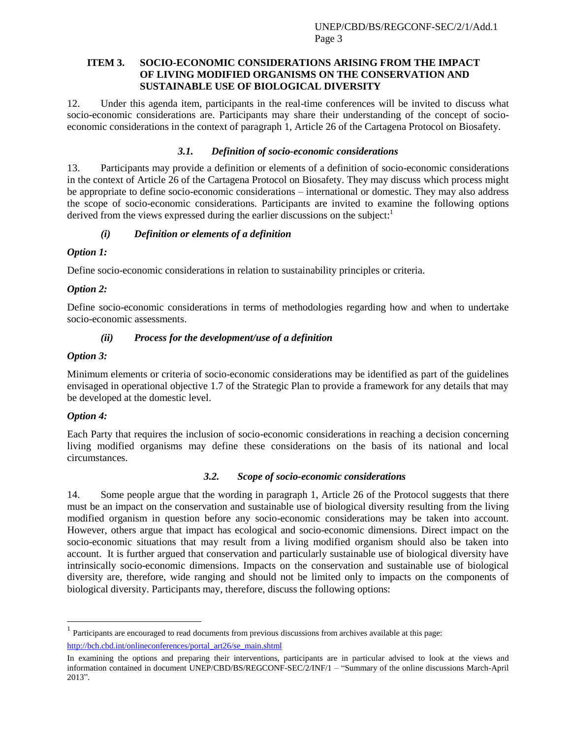#### **ITEM 3. SOCIO-ECONOMIC CONSIDERATIONS ARISING FROM THE IMPACT OF LIVING MODIFIED ORGANISMS ON THE CONSERVATION AND SUSTAINABLE USE OF BIOLOGICAL DIVERSITY**

12. Under this agenda item, participants in the real-time conferences will be invited to discuss what socio-economic considerations are. Participants may share their understanding of the concept of socioeconomic considerations in the context of paragraph 1, Article 26 of the Cartagena Protocol on Biosafety.

#### *3.1. Definition of socio-economic considerations*

13. Participants may provide a definition or elements of a definition of socio-economic considerations in the context of Article 26 of the Cartagena Protocol on Biosafety. They may discuss which process might be appropriate to define socio-economic considerations – international or domestic. They may also address the scope of socio-economic considerations. Participants are invited to examine the following options derived from the views expressed during the earlier discussions on the subject:<sup>1</sup>

#### *(i) Definition or elements of a definition*

#### *Option 1:*

Define socio-economic considerations in relation to sustainability principles or criteria.

#### *Option 2:*

Define socio-economic considerations in terms of methodologies regarding how and when to undertake socio-economic assessments.

#### *(ii) Process for the development/use of a definition*

#### *Option 3:*

Minimum elements or criteria of socio-economic considerations may be identified as part of the guidelines envisaged in operational objective 1.7 of the Strategic Plan to provide a framework for any details that may be developed at the domestic level.

#### *Option 4:*

l

Each Party that requires the inclusion of socio-economic considerations in reaching a decision concerning living modified organisms may define these considerations on the basis of its national and local circumstances.

#### *3.2. Scope of socio-economic considerations*

14. Some people argue that the wording in paragraph 1, Article 26 of the Protocol suggests that there must be an impact on the conservation and sustainable use of biological diversity resulting from the living modified organism in question before any socio-economic considerations may be taken into account. However, others argue that impact has ecological and socio-economic dimensions. Direct impact on the socio-economic situations that may result from a living modified organism should also be taken into account. It is further argued that conservation and particularly sustainable use of biological diversity have intrinsically socio-economic dimensions. Impacts on the conservation and sustainable use of biological diversity are, therefore, wide ranging and should not be limited only to impacts on the components of biological diversity. Participants may, therefore, discuss the following options:

<sup>&</sup>lt;sup>1</sup> Participants are encouraged to read documents from previous discussions from archives available at this page: [http://bch.cbd.int/onlineconferences/portal\\_art26/se\\_main.shtml](http://bch.cbd.int/onlineconferences/portal_art26/se_main.shtml)

In examining the options and preparing their interventions, participants are in particular advised to look at the views and information contained in document UNEP/CBD/BS/REGCONF-SEC/2/INF/1 – "Summary of the online discussions March-April 2013".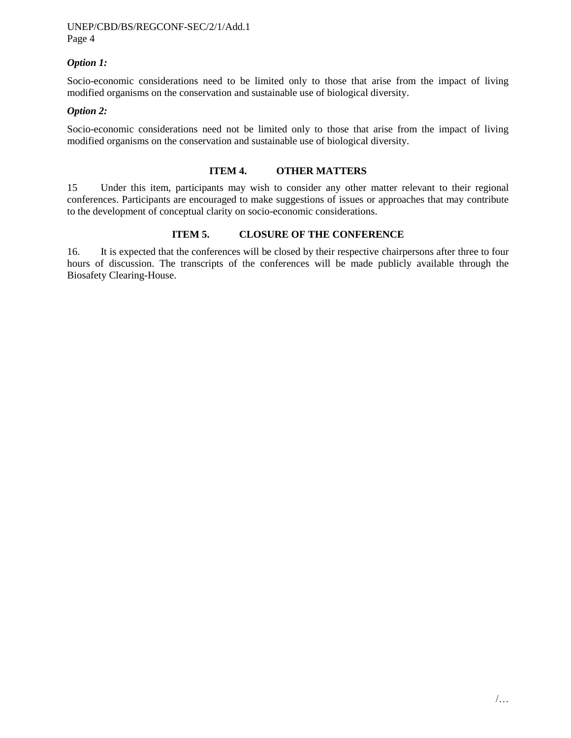#### UNEP/CBD/BS/REGCONF-SEC/2/1/Add.1 Page 4

#### *Option 1:*

Socio-economic considerations need to be limited only to those that arise from the impact of living modified organisms on the conservation and sustainable use of biological diversity.

#### *Option 2:*

Socio-economic considerations need not be limited only to those that arise from the impact of living modified organisms on the conservation and sustainable use of biological diversity.

#### **ITEM 4. OTHER MATTERS**

15 Under this item, participants may wish to consider any other matter relevant to their regional conferences. Participants are encouraged to make suggestions of issues or approaches that may contribute to the development of conceptual clarity on socio-economic considerations.

#### **ITEM 5. CLOSURE OF THE CONFERENCE**

16. It is expected that the conferences will be closed by their respective chairpersons after three to four hours of discussion. The transcripts of the conferences will be made publicly available through the Biosafety Clearing-House.